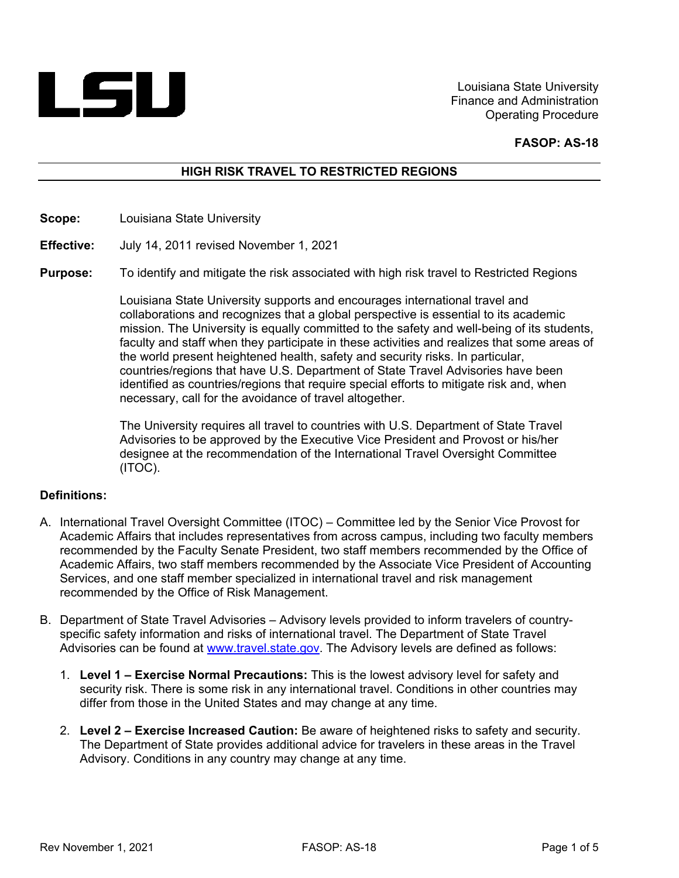

Louisiana State University Finance and Administration Operating Procedure

#### **FASOP: AS-18**

# **HIGH RISK TRAVEL TO RESTRICTED REGIONS**

**Scope:**  Louisiana State University

**Effective:**  July 14, 2011 revised November 1, 2021

**Purpose:**  To identify and mitigate the risk associated with high risk travel to Restricted Regions

> Louisiana State University supports and encourages international travel and collaborations and recognizes that a global perspective is essential to its academic mission. The University is equally committed to the safety and well-being of its students, faculty and staff when they participate in these activities and realizes that some areas of the world present heightened health, safety and security risks. In particular, countries/regions that have U.S. Department of State Travel Advisories have been identified as countries/regions that require special efforts to mitigate risk and, when necessary, call for the avoidance of travel altogether.

The University requires all travel to countries with U.S. Department of State Travel Advisories to be approved by the Executive Vice President and Provost or his/her designee at the recommendation of the International Travel Oversight Committee (ITOC).

#### **Definitions:**

- A. International Travel Oversight Committee (ITOC) Committee led by the Senior Vice Provost for Academic Affairs that includes representatives from across campus, including two faculty members recommended by the Faculty Senate President, two staff members recommended by the Office of Academic Affairs, two staff members recommended by the Associate Vice President of Accounting Services, and one staff member specialized in international travel and risk management recommended by the Office of Risk Management.
- B. Department of State Travel Advisories Advisory levels provided to inform travelers of countryspecific safety information and risks of international travel. The Department of State Travel Advisories can be found at www.travel.state.gov. The Advisory levels are defined as follows:
	- 1. **Level 1 Exercise Normal Precautions:** This is the lowest advisory level for safety and security risk. There is some risk in any international travel. Conditions in other countries may differ from those in the United States and may change at any time.
	- 2. **Level 2 Exercise Increased Caution:** Be aware of heightened risks to safety and security. The Department of State provides additional advice for travelers in these areas in the Travel Advisory. Conditions in any country may change at any time.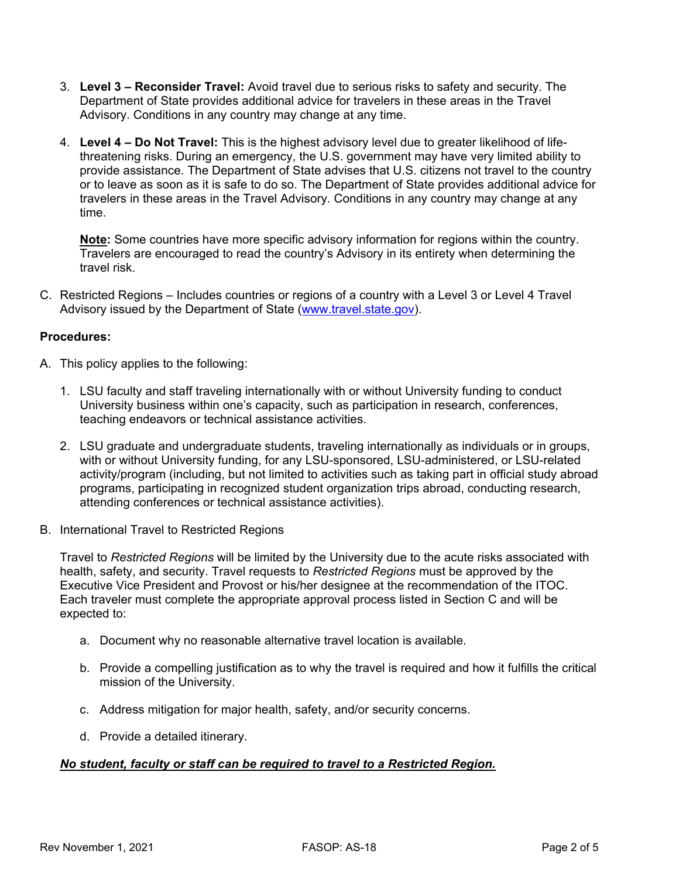- 3. **Level 3 Reconsider Travel:** Avoid travel due to serious risks to safety and security. The Department of State provides additional advice for travelers in these areas in the Travel Advisory. Conditions in any country may change at any time.
- 4. **Level 4 Do Not Travel:** This is the highest advisory level due to greater likelihood of lifethreatening risks. During an emergency, the U.S. government may have very limited ability to provide assistance. The Department of State advises that U.S. citizens not travel to the country or to leave as soon as it is safe to do so. The Department of State provides additional advice for travelers in these areas in the Travel Advisory. Conditions in any country may change at any time.

**Note:** Some countries have more specific advisory information for regions within the country. Travelers are encouraged to read the country's Advisory in its entirety when determining the travel risk.

C. Restricted Regions – Includes countries or regions of a country with a Level 3 or Level 4 Travel Advisory issued by the Department of State (www.travel.state.gov).

# **Procedures:**

- A. This policy applies to the following:
	- 1. LSU faculty and staff traveling internationally with or without University funding to conduct University business within one's capacity, such as participation in research, conferences, teaching endeavors or technical assistance activities.
	- 2. LSU graduate and undergraduate students, traveling internationally as individuals or in groups, with or without University funding, for any LSU-sponsored, LSU-administered, or LSU-related activity/program (including, but not limited to activities such as taking part in official study abroad programs, participating in recognized student organization trips abroad, conducting research, attending conferences or technical assistance activities).
- B. International Travel to Restricted Regions

Travel to *Restricted Regions* will be limited by the University due to the acute risks associated with health, safety, and security. Travel requests to *Restricted Regions* must be approved by the Executive Vice President and Provost or his/her designee at the recommendation of the ITOC. Each traveler must complete the appropriate approval process listed in Section C and will be expected to:

- a. Document why no reasonable alternative travel location is available.
- b. Provide a compelling justification as to why the travel is required and how it fulfills the critical mission of the University.
- c. Address mitigation for major health, safety, and/or security concerns.
- d. Provide a detailed itinerary.

# *No student, faculty or staff can be required to travel to a Restricted Region.*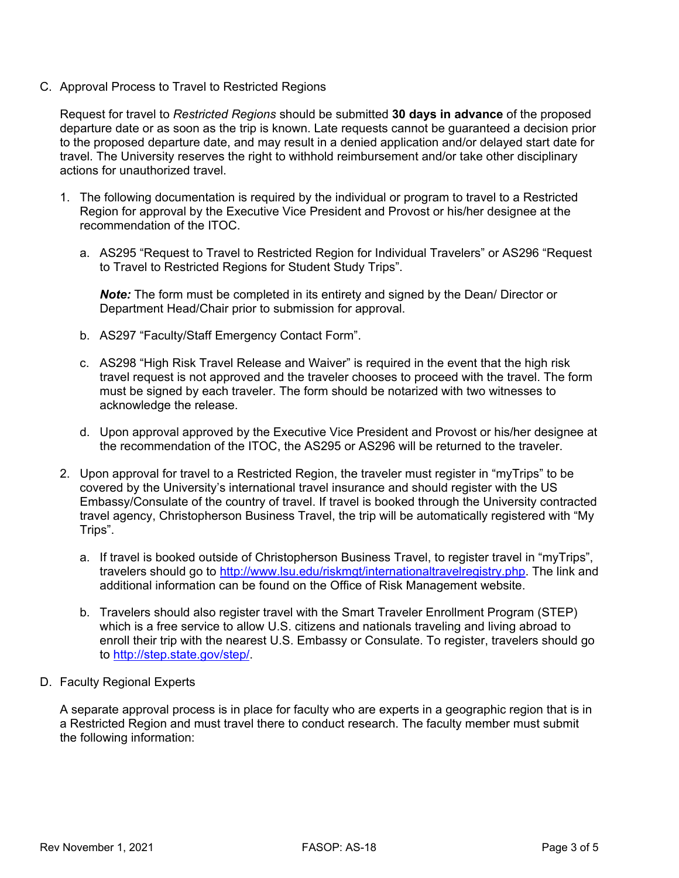C. Approval Process to Travel to Restricted Regions

Request for travel to *Restricted Regions* should be submitted **30 days in advance** of the proposed departure date or as soon as the trip is known. Late requests cannot be guaranteed a decision prior to the proposed departure date, and may result in a denied application and/or delayed start date for travel. The University reserves the right to withhold reimbursement and/or take other disciplinary actions for unauthorized travel.

- 1. The following documentation is required by the individual or program to travel to a Restricted Region for approval by the Executive Vice President and Provost or his/her designee at the recommendation of the ITOC.
	- a. AS295 "Request to Travel to Restricted Region for Individual Travelers" or AS296 "Request to Travel to Restricted Regions for Student Study Trips".

*Note:* The form must be completed in its entirety and signed by the Dean/ Director or Department Head/Chair prior to submission for approval.

- b. AS297 "Faculty/Staff Emergency Contact Form".
- c. AS298 "High Risk Travel Release and Waiver" is required in the event that the high risk travel request is not approved and the traveler chooses to proceed with the travel. The form must be signed by each traveler. The form should be notarized with two witnesses to acknowledge the release.
- d. Upon approval approved by the Executive Vice President and Provost or his/her designee at the recommendation of the ITOC, the AS295 or AS296 will be returned to the traveler.
- 2. Upon approval for travel to a Restricted Region, the traveler must register in "myTrips" to be covered by the University's international travel insurance and should register with the US Embassy/Consulate of the country of travel. If travel is booked through the University contracted travel agency, Christopherson Business Travel, the trip will be automatically registered with "My Trips".
	- a. If travel is booked outside of Christopherson Business Travel, to register travel in "myTrips", travelers should go to http://www.lsu.edu/riskmgt/internationaltravelregistry.php. The link and additional information can be found on the Office of Risk Management website.
	- b. Travelers should also register travel with the Smart Traveler Enrollment Program (STEP) which is a free service to allow U.S. citizens and nationals traveling and living abroad to enroll their trip with the nearest U.S. Embassy or Consulate. To register, travelers should go to http://step.state.gov/step/.
- D. Faculty Regional Experts

A separate approval process is in place for faculty who are experts in a geographic region that is in a Restricted Region and must travel there to conduct research. The faculty member must submit the following information: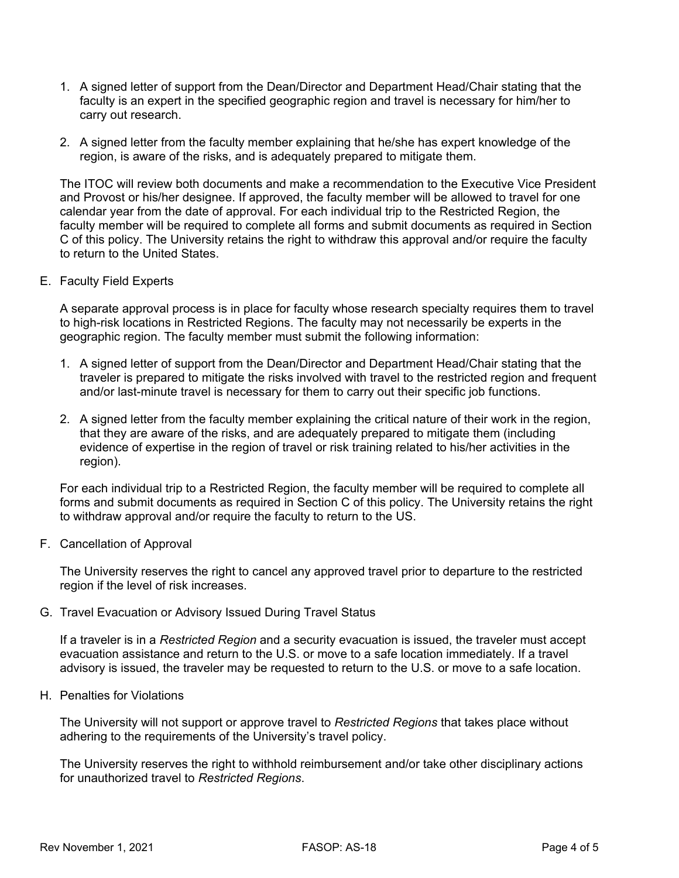- 1. A signed letter of support from the Dean/Director and Department Head/Chair stating that the faculty is an expert in the specified geographic region and travel is necessary for him/her to carry out research.
- 2. A signed letter from the faculty member explaining that he/she has expert knowledge of the region, is aware of the risks, and is adequately prepared to mitigate them.

The ITOC will review both documents and make a recommendation to the Executive Vice President and Provost or his/her designee. If approved, the faculty member will be allowed to travel for one calendar year from the date of approval. For each individual trip to the Restricted Region, the faculty member will be required to complete all forms and submit documents as required in Section C of this policy. The University retains the right to withdraw this approval and/or require the faculty to return to the United States.

E. Faculty Field Experts

A separate approval process is in place for faculty whose research specialty requires them to travel to high-risk locations in Restricted Regions. The faculty may not necessarily be experts in the geographic region. The faculty member must submit the following information:

- 1. A signed letter of support from the Dean/Director and Department Head/Chair stating that the traveler is prepared to mitigate the risks involved with travel to the restricted region and frequent and/or last-minute travel is necessary for them to carry out their specific job functions.
- 2. A signed letter from the faculty member explaining the critical nature of their work in the region, that they are aware of the risks, and are adequately prepared to mitigate them (including evidence of expertise in the region of travel or risk training related to his/her activities in the region).

For each individual trip to a Restricted Region, the faculty member will be required to complete all forms and submit documents as required in Section C of this policy. The University retains the right to withdraw approval and/or require the faculty to return to the US.

F. Cancellation of Approval

The University reserves the right to cancel any approved travel prior to departure to the restricted region if the level of risk increases.

G. Travel Evacuation or Advisory Issued During Travel Status

If a traveler is in a *Restricted Region* and a security evacuation is issued, the traveler must accept evacuation assistance and return to the U.S. or move to a safe location immediately. If a travel advisory is issued, the traveler may be requested to return to the U.S. or move to a safe location.

H. Penalties for Violations

The University will not support or approve travel to *Restricted Regions* that takes place without adhering to the requirements of the University's travel policy.

The University reserves the right to withhold reimbursement and/or take other disciplinary actions for unauthorized travel to *Restricted Regions*.